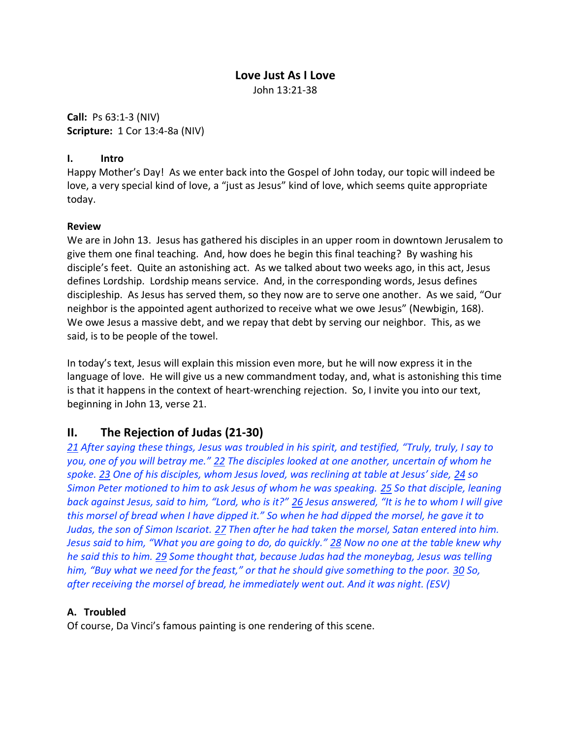#### **Love Just As I Love**

John 13:21-38

**Call:** Ps 63:1-3 (NIV) **Scripture:** 1 Cor 13:4-8a (NIV)

#### **I. Intro**

Happy Mother's Day! As we enter back into the Gospel of John today, our topic will indeed be love, a very special kind of love, a "just as Jesus" kind of love, which seems quite appropriate today.

#### **Review**

We are in John 13. Jesus has gathered his disciples in an upper room in downtown Jerusalem to give them one final teaching. And, how does he begin this final teaching? By washing his disciple's feet. Quite an astonishing act. As we talked about two weeks ago, in this act, Jesus defines Lordship. Lordship means service. And, in the corresponding words, Jesus defines discipleship. As Jesus has served them, so they now are to serve one another. As we said, "Our neighbor is the appointed agent authorized to receive what we owe Jesus" (Newbigin, 168). We owe Jesus a massive debt, and we repay that debt by serving our neighbor. This, as we said, is to be people of the towel.

In today's text, Jesus will explain this mission even more, but he will now express it in the language of love. He will give us a new commandment today, and, what is astonishing this time is that it happens in the context of heart-wrenching rejection. So, I invite you into our text, beginning in John 13, verse 21.

## **II. The Rejection of Judas (21-30)**

*21 After saying these things, Jesus was troubled in his spirit, and testified, "Truly, truly, I say to you, one of you will betray me." 22 The disciples looked at one another, uncertain of whom he spoke. 23 One of his disciples, whom Jesus loved, was reclining at table at Jesus' side, 24 so Simon Peter motioned to him to ask Jesus of whom he was speaking. 25 So that disciple, leaning back against Jesus, said to him, "Lord, who is it?" 26 Jesus answered, "It is he to whom I will give this morsel of bread when I have dipped it." So when he had dipped the morsel, he gave it to Judas, the son of Simon Iscariot. 27 Then after he had taken the morsel, Satan entered into him. Jesus said to him, "What you are going to do, do quickly." 28 Now no one at the table knew why he said this to him. 29 Some thought that, because Judas had the moneybag, Jesus was telling him, "Buy what we need for the feast," or that he should give something to the poor. 30 So, after receiving the morsel of bread, he immediately went out. And it was night. (ESV)*

#### **A. Troubled**

Of course, Da Vinci's famous painting is one rendering of this scene.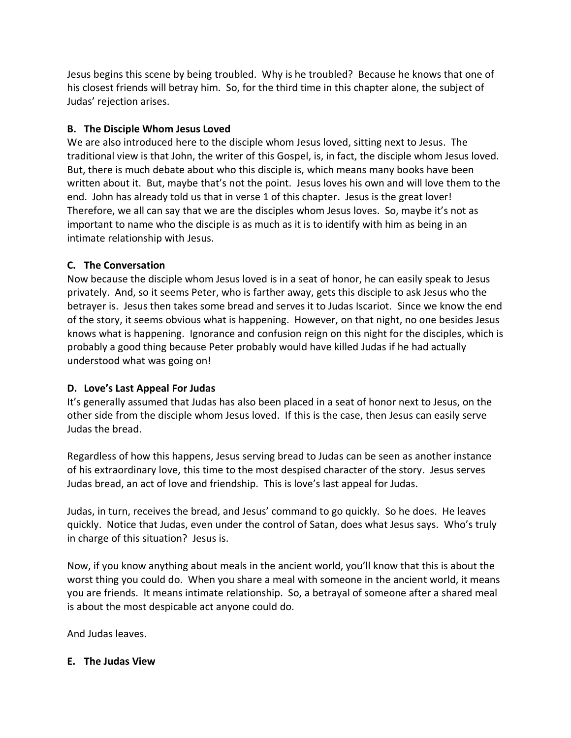Jesus begins this scene by being troubled. Why is he troubled? Because he knows that one of his closest friends will betray him. So, for the third time in this chapter alone, the subject of Judas' rejection arises.

### **B. The Disciple Whom Jesus Loved**

We are also introduced here to the disciple whom Jesus loved, sitting next to Jesus. The traditional view is that John, the writer of this Gospel, is, in fact, the disciple whom Jesus loved. But, there is much debate about who this disciple is, which means many books have been written about it. But, maybe that's not the point. Jesus loves his own and will love them to the end. John has already told us that in verse 1 of this chapter. Jesus is the great lover! Therefore, we all can say that we are the disciples whom Jesus loves.So, maybe it's not as important to name who the disciple is as much as it is to identify with him as being in an intimate relationship with Jesus.

### **C. The Conversation**

Now because the disciple whom Jesus loved is in a seat of honor, he can easily speak to Jesus privately. And, so it seems Peter, who is farther away, gets this disciple to ask Jesus who the betrayer is. Jesus then takes some bread and serves it to Judas Iscariot. Since we know the end of the story, it seems obvious what is happening. However, on that night, no one besides Jesus knows what is happening. Ignorance and confusion reign on this night for the disciples, which is probably a good thing because Peter probably would have killed Judas if he had actually understood what was going on!

## **D. Love's Last Appeal For Judas**

It's generally assumed that Judas has also been placed in a seat of honor next to Jesus, on the other side from the disciple whom Jesus loved. If this is the case, then Jesus can easily serve Judas the bread.

Regardless of how this happens, Jesus serving bread to Judas can be seen as another instance of his extraordinary love, this time to the most despised character of the story. Jesus serves Judas bread, an act of love and friendship. This is love's last appeal for Judas.

Judas, in turn, receives the bread, and Jesus' command to go quickly. So he does. He leaves quickly. Notice that Judas, even under the control of Satan, does what Jesus says. Who's truly in charge of this situation? Jesus is.

Now, if you know anything about meals in the ancient world, you'll know that this is about the worst thing you could do. When you share a meal with someone in the ancient world, it means you are friends. It means intimate relationship. So, a betrayal of someone after a shared meal is about the most despicable act anyone could do.

And Judas leaves.

## **E. The Judas View**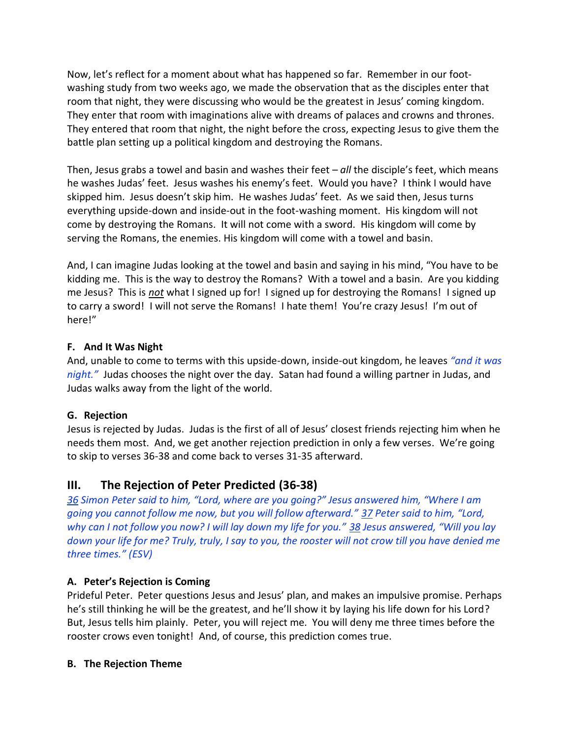Now, let's reflect for a moment about what has happened so far. Remember in our footwashing study from two weeks ago, we made the observation that as the disciples enter that room that night, they were discussing who would be the greatest in Jesus' coming kingdom. They enter that room with imaginations alive with dreams of palaces and crowns and thrones. They entered that room that night, the night before the cross, expecting Jesus to give them the battle plan setting up a political kingdom and destroying the Romans.

Then, Jesus grabs a towel and basin and washes their feet – *all* the disciple's feet, which means he washes Judas' feet. Jesus washes his enemy's feet. Would you have? I think I would have skipped him. Jesus doesn't skip him. He washes Judas' feet. As we said then, Jesus turns everything upside-down and inside-out in the foot-washing moment. His kingdom will not come by destroying the Romans. It will not come with a sword. His kingdom will come by serving the Romans, the enemies. His kingdom will come with a towel and basin.

And, I can imagine Judas looking at the towel and basin and saying in his mind, "You have to be kidding me. This is the way to destroy the Romans? With a towel and a basin. Are you kidding me Jesus? This is *not* what I signed up for! I signed up for destroying the Romans! I signed up to carry a sword! I will not serve the Romans! I hate them! You're crazy Jesus! I'm out of here!"

#### **F. And It Was Night**

And, unable to come to terms with this upside-down, inside-out kingdom, he leaves *"and it was night."* Judas chooses the night over the day. Satan had found a willing partner in Judas, and Judas walks away from the light of the world.

#### **G. Rejection**

Jesus is rejected by Judas. Judas is the first of all of Jesus' closest friends rejecting him when he needs them most. And, we get another rejection prediction in only a few verses. We're going to skip to verses 36-38 and come back to verses 31-35 afterward.

# **III. The Rejection of Peter Predicted (36-38)**

*36 Simon Peter said to him, "Lord, where are you going?" Jesus answered him, "Where I am going you cannot follow me now, but you will follow afterward." 37 Peter said to him, "Lord, why can I not follow you now? I will lay down my life for you." 38 Jesus answered, "Will you lay down your life for me? Truly, truly, I say to you, the rooster will not crow till you have denied me three times." (ESV)*

## **A. Peter's Rejection is Coming**

Prideful Peter. Peter questions Jesus and Jesus' plan, and makes an impulsive promise. Perhaps he's still thinking he will be the greatest, and he'll show it by laying his life down for his Lord? But, Jesus tells him plainly. Peter, you will reject me. You will deny me three times before the rooster crows even tonight! And, of course, this prediction comes true.

#### **B. The Rejection Theme**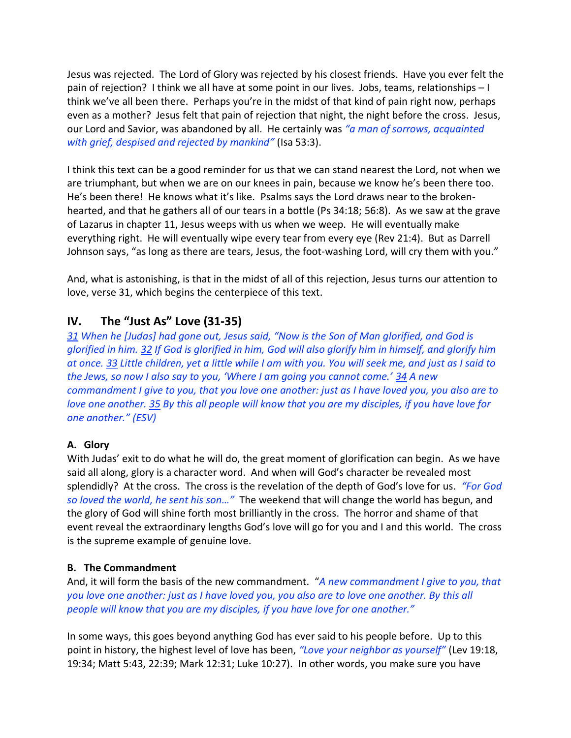Jesus was rejected. The Lord of Glory was rejected by his closest friends. Have you ever felt the pain of rejection? I think we all have at some point in our lives. Jobs, teams, relationships – I think we've all been there. Perhaps you're in the midst of that kind of pain right now, perhaps even as a mother? Jesus felt that pain of rejection that night, the night before the cross. Jesus, our Lord and Savior, was abandoned by all. He certainly was *"a man of sorrows, acquainted with grief, despised and rejected by mankind"* (Isa 53:3).

I think this text can be a good reminder for us that we can stand nearest the Lord, not when we are triumphant, but when we are on our knees in pain, because we know he's been there too. He's been there! He knows what it's like. Psalms says the Lord draws near to the brokenhearted, and that he gathers all of our tears in a bottle (Ps 34:18; 56:8). As we saw at the grave of Lazarus in chapter 11, Jesus weeps with us when we weep. He will eventually make everything right. He will eventually wipe every tear from every eye (Rev 21:4). But as Darrell Johnson says, "as long as there are tears, Jesus, the foot-washing Lord, will cry them with you."

And, what is astonishing, is that in the midst of all of this rejection, Jesus turns our attention to love, verse 31, which begins the centerpiece of this text.

# **IV. The "Just As" Love (31-35)**

*31 When he [Judas] had gone out, Jesus said, "Now is the Son of Man glorified, and God is glorified in him. 32 If God is glorified in him, God will also glorify him in himself, and glorify him at once. 33 Little children, yet a little while I am with you. You will seek me, and just as I said to the Jews, so now I also say to you, 'Where I am going you cannot come.' 34 A new commandment I give to you, that you love one another: just as I have loved you, you also are to love one another. 35 By this all people will know that you are my disciples, if you have love for one another." (ESV)*

#### **A. Glory**

With Judas' exit to do what he will do, the great moment of glorification can begin. As we have said all along, glory is a character word. And when will God's character be revealed most splendidly? At the cross. The cross is the revelation of the depth of God's love for us. *"For God so loved the world, he sent his son…"* The weekend that will change the world has begun, and the glory of God will shine forth most brilliantly in the cross. The horror and shame of that event reveal the extraordinary lengths God's love will go for you and I and this world. The cross is the supreme example of genuine love.

#### **B. The Commandment**

And, it will form the basis of the new commandment. "*A new commandment I give to you, that you love one another: just as I have loved you, you also are to love one another. By this all people will know that you are my disciples, if you have love for one another."*

In some ways, this goes beyond anything God has ever said to his people before. Up to this point in history, the highest level of love has been, *"Love your neighbor as yourself"* (Lev 19:18, 19:34; Matt 5:43, 22:39; Mark 12:31; Luke 10:27). In other words, you make sure you have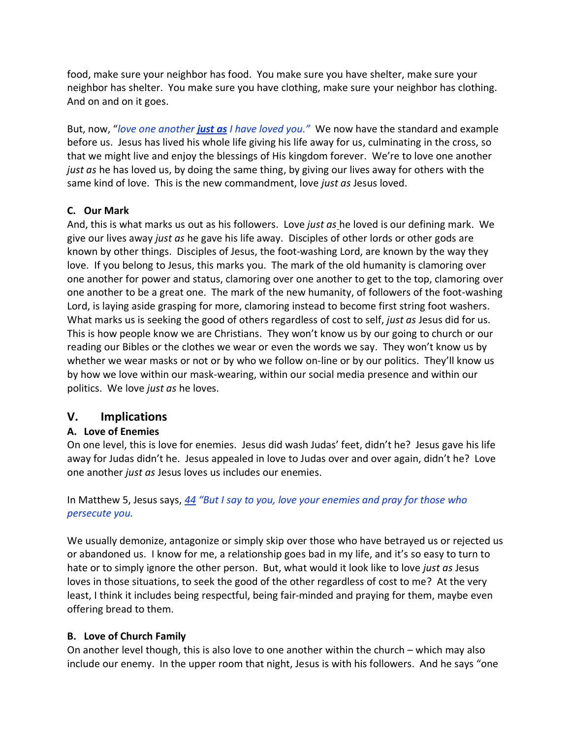food, make sure your neighbor has food. You make sure you have shelter, make sure your neighbor has shelter. You make sure you have clothing, make sure your neighbor has clothing. And on and on it goes.

But, now, "*love one another just as I have loved you."* We now have the standard and example before us. Jesus has lived his whole life giving his life away for us, culminating in the cross, so that we might live and enjoy the blessings of His kingdom forever. We're to love one another *just as* he has loved us, by doing the same thing, by giving our lives away for others with the same kind of love. This is the new commandment, love *just as* Jesus loved.

#### **C. Our Mark**

And, this is what marks us out as his followers. Love *just as* he loved is our defining mark. We give our lives away *just as* he gave his life away. Disciples of other lords or other gods are known by other things. Disciples of Jesus, the foot-washing Lord, are known by the way they love. If you belong to Jesus, this marks you. The mark of the old humanity is clamoring over one another for power and status, clamoring over one another to get to the top, clamoring over one another to be a great one. The mark of the new humanity, of followers of the foot-washing Lord, is laying aside grasping for more, clamoring instead to become first string foot washers. What marks us is seeking the good of others regardless of cost to self, *just as* Jesus did for us. This is how people know we are Christians. They won't know us by our going to church or our reading our Bibles or the clothes we wear or even the words we say. They won't know us by whether we wear masks or not or by who we follow on-line or by our politics. They'll know us by how we love within our mask-wearing, within our social media presence and within our politics. We love *just as* he loves.

## **V. Implications**

#### **A. Love of Enemies**

On one level, this is love for enemies. Jesus did wash Judas' feet, didn't he? Jesus gave his life away for Judas didn't he. Jesus appealed in love to Judas over and over again, didn't he? Love one another *just as* Jesus loves us includes our enemies.

### In Matthew 5, Jesus says, *44 "But I say to you, love your enemies and pray for those who persecute you.*

We usually demonize, antagonize or simply skip over those who have betrayed us or rejected us or abandoned us. I know for me, a relationship goes bad in my life, and it's so easy to turn to hate or to simply ignore the other person. But, what would it look like to love *just as* Jesus loves in those situations, to seek the good of the other regardless of cost to me? At the very least, I think it includes being respectful, being fair-minded and praying for them, maybe even offering bread to them.

#### **B. Love of Church Family**

On another level though, this is also love to one another within the church – which may also include our enemy. In the upper room that night, Jesus is with his followers. And he says "one